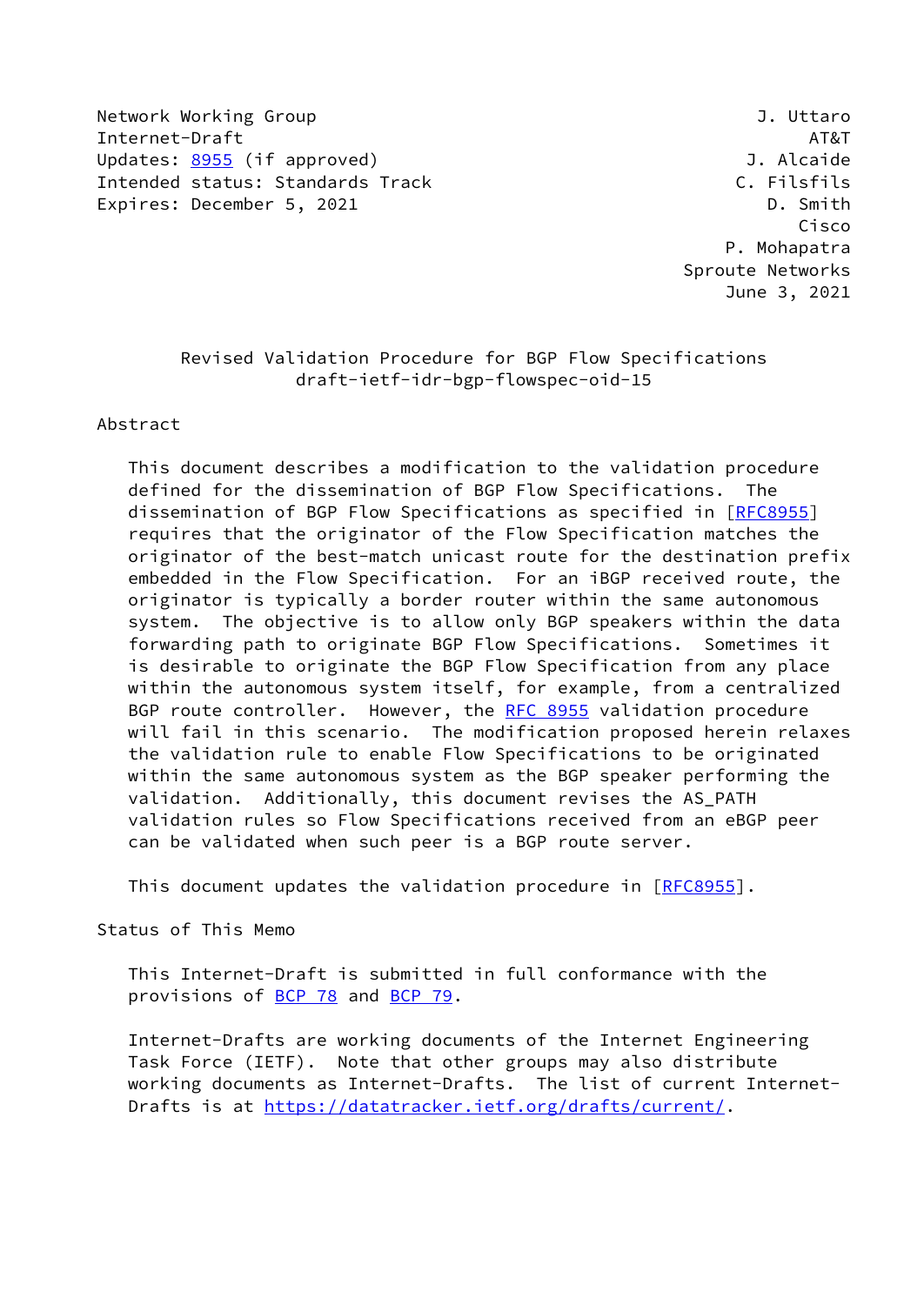Network Working Group **J. Uttaro** Internet-Draft AT&T Updates: [8955](https://datatracker.ietf.org/doc/pdf/rfc8955) (if approved) and the settlement of the Updates: 8955 (if approved) Intended status: Standards Track C. Filsfils Expires: December 5, 2021 and the control of the D. Smith

 Cisco P. Mohapatra Sproute Networks June 3, 2021

# Revised Validation Procedure for BGP Flow Specifications draft-ietf-idr-bgp-flowspec-oid-15

#### Abstract

 This document describes a modification to the validation procedure defined for the dissemination of BGP Flow Specifications. The dissemination of BGP Flow Specifications as specified in [\[RFC8955](https://datatracker.ietf.org/doc/pdf/rfc8955)] requires that the originator of the Flow Specification matches the originator of the best-match unicast route for the destination prefix embedded in the Flow Specification. For an iBGP received route, the originator is typically a border router within the same autonomous system. The objective is to allow only BGP speakers within the data forwarding path to originate BGP Flow Specifications. Sometimes it is desirable to originate the BGP Flow Specification from any place within the autonomous system itself, for example, from a centralized BGP route controller. However, the [RFC 8955](https://datatracker.ietf.org/doc/pdf/rfc8955) validation procedure will fail in this scenario. The modification proposed herein relaxes the validation rule to enable Flow Specifications to be originated within the same autonomous system as the BGP speaker performing the validation. Additionally, this document revises the AS\_PATH validation rules so Flow Specifications received from an eBGP peer can be validated when such peer is a BGP route server.

This document updates the validation procedure in [[RFC8955](https://datatracker.ietf.org/doc/pdf/rfc8955)].

## Status of This Memo

 This Internet-Draft is submitted in full conformance with the provisions of [BCP 78](https://datatracker.ietf.org/doc/pdf/bcp78) and [BCP 79](https://datatracker.ietf.org/doc/pdf/bcp79).

 Internet-Drafts are working documents of the Internet Engineering Task Force (IETF). Note that other groups may also distribute working documents as Internet-Drafts. The list of current Internet- Drafts is at<https://datatracker.ietf.org/drafts/current/>.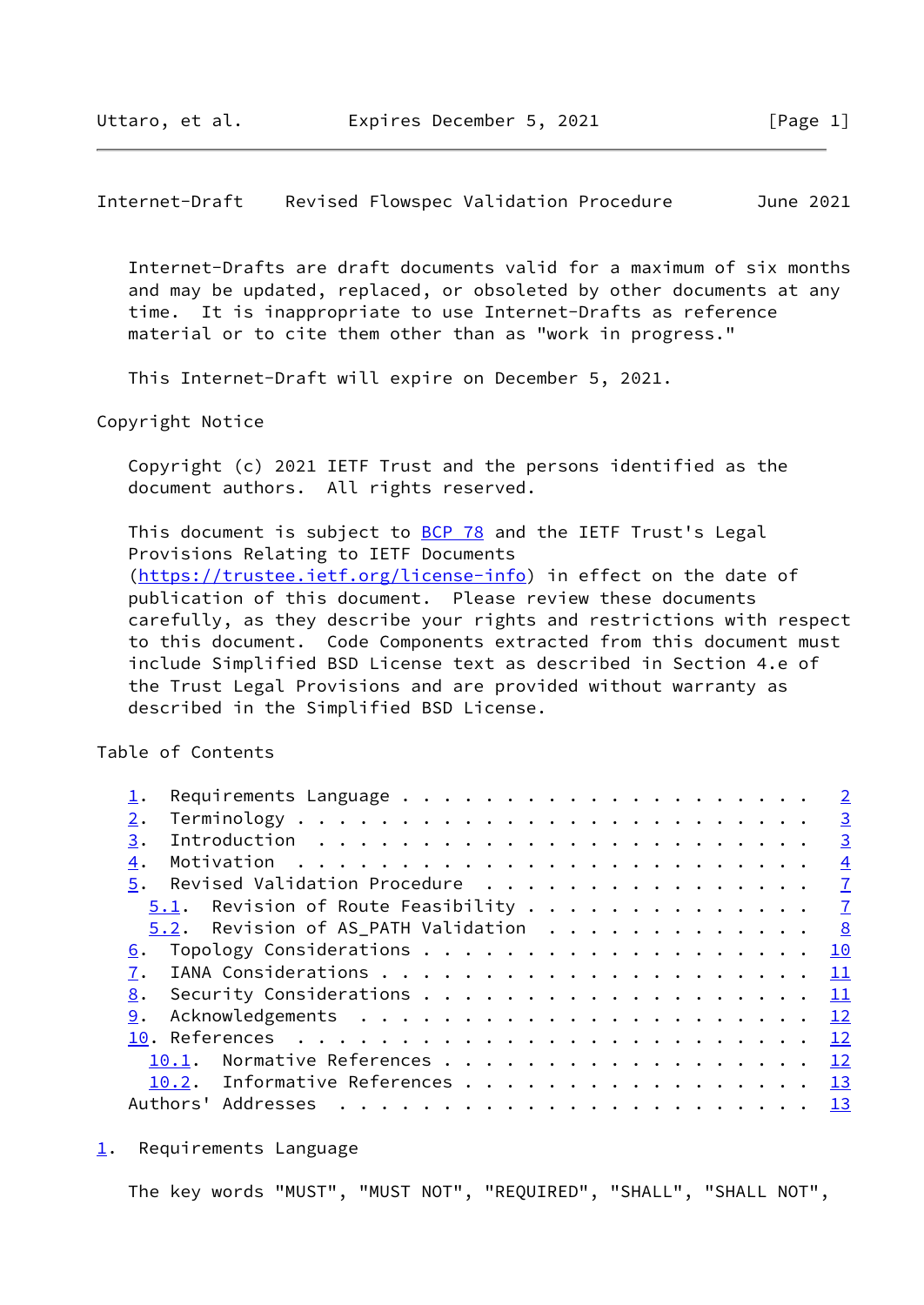<span id="page-1-1"></span>Internet-Draft Revised Flowspec Validation Procedure June 2021

 Internet-Drafts are draft documents valid for a maximum of six months and may be updated, replaced, or obsoleted by other documents at any time. It is inappropriate to use Internet-Drafts as reference material or to cite them other than as "work in progress."

This Internet-Draft will expire on December 5, 2021.

Copyright Notice

 Copyright (c) 2021 IETF Trust and the persons identified as the document authors. All rights reserved.

This document is subject to [BCP 78](https://datatracker.ietf.org/doc/pdf/bcp78) and the IETF Trust's Legal Provisions Relating to IETF Documents [\(https://trustee.ietf.org/license-info](https://trustee.ietf.org/license-info)) in effect on the date of publication of this document. Please review these documents carefully, as they describe your rights and restrictions with respect to this document. Code Components extracted from this document must include Simplified BSD License text as described in Section 4.e of the Trust Legal Provisions and are provided without warranty as described in the Simplified BSD License.

Table of Contents

|    |       |                                              |  |  |  |  |  |  |  |  |  |  |  | $\overline{2}$  |
|----|-------|----------------------------------------------|--|--|--|--|--|--|--|--|--|--|--|-----------------|
| 2. |       |                                              |  |  |  |  |  |  |  |  |  |  |  | $\overline{3}$  |
| 3. |       |                                              |  |  |  |  |  |  |  |  |  |  |  | $\overline{3}$  |
| 4. |       |                                              |  |  |  |  |  |  |  |  |  |  |  | $\frac{4}{1}$   |
| 5. |       | Revised Validation Procedure 7               |  |  |  |  |  |  |  |  |  |  |  |                 |
|    |       | <u>5.1</u> . Revision of Route Feasibility 7 |  |  |  |  |  |  |  |  |  |  |  |                 |
|    |       | $5.2$ . Revision of AS_PATH Validation 8     |  |  |  |  |  |  |  |  |  |  |  |                 |
| 6. |       |                                              |  |  |  |  |  |  |  |  |  |  |  |                 |
|    |       |                                              |  |  |  |  |  |  |  |  |  |  |  |                 |
| 8. |       | Security Considerations $\cdots$ 11          |  |  |  |  |  |  |  |  |  |  |  |                 |
| 9. |       |                                              |  |  |  |  |  |  |  |  |  |  |  |                 |
|    |       |                                              |  |  |  |  |  |  |  |  |  |  |  |                 |
|    | 10.1. | Normative References 12                      |  |  |  |  |  |  |  |  |  |  |  |                 |
|    |       | 10.2. Informative References                 |  |  |  |  |  |  |  |  |  |  |  | $\overline{13}$ |
|    |       |                                              |  |  |  |  |  |  |  |  |  |  |  |                 |

<span id="page-1-0"></span>[1](#page-1-0). Requirements Language

The key words "MUST", "MUST NOT", "REQUIRED", "SHALL", "SHALL NOT",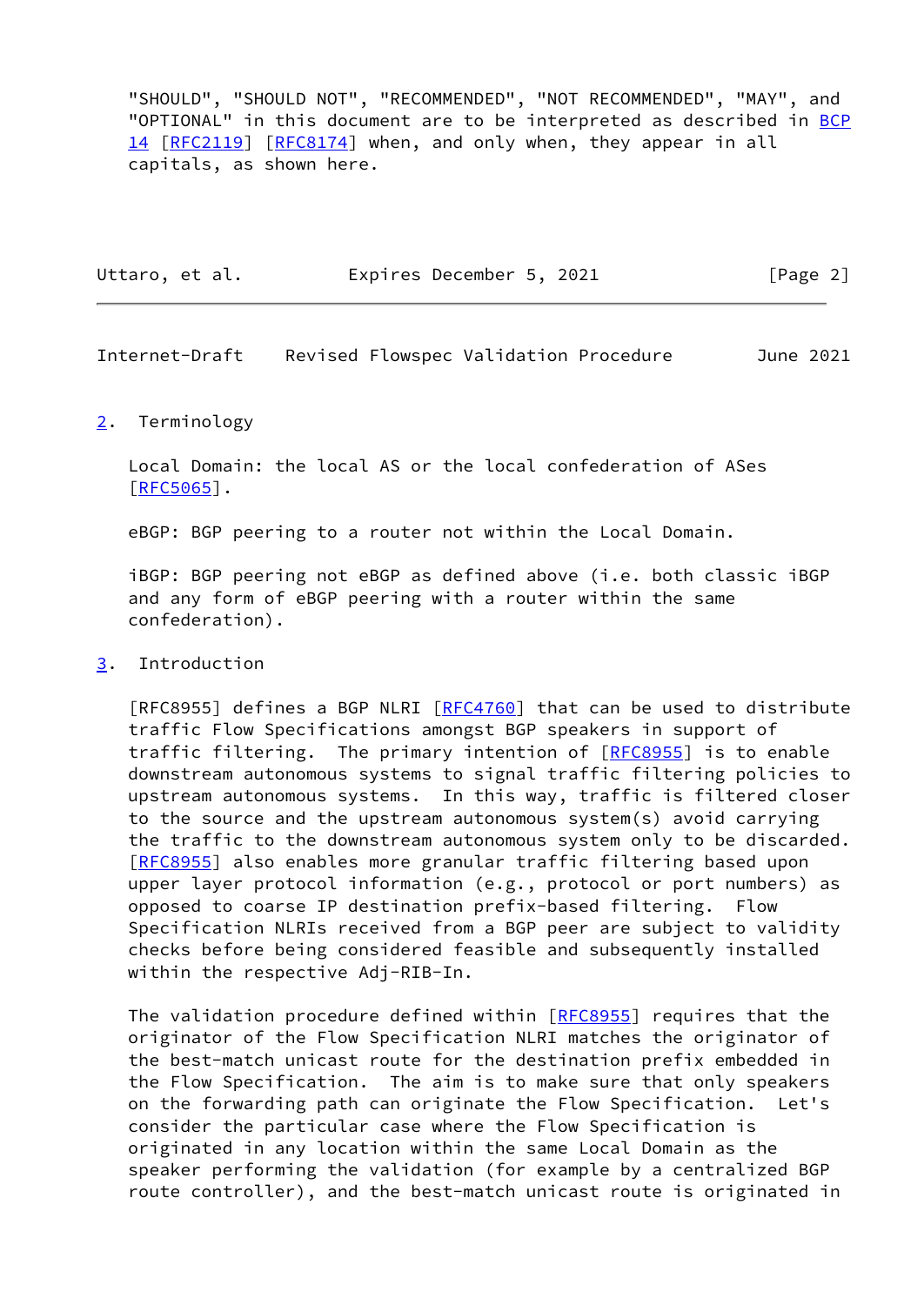"SHOULD", "SHOULD NOT", "RECOMMENDED", "NOT RECOMMENDED", "MAY", and "OPTIONAL" in this document are to be interpreted as described in [BCP](https://datatracker.ietf.org/doc/pdf/bcp14) [14](https://datatracker.ietf.org/doc/pdf/bcp14) [[RFC2119\]](https://datatracker.ietf.org/doc/pdf/rfc2119) [\[RFC8174](https://datatracker.ietf.org/doc/pdf/rfc8174)] when, and only when, they appear in all capitals, as shown here.

| Uttaro, et al. | Expires December 5, 2021 | [Page 2] |
|----------------|--------------------------|----------|
|                |                          |          |

<span id="page-2-1"></span>Internet-Draft Revised Flowspec Validation Procedure June 2021

### <span id="page-2-0"></span>[2](#page-2-0). Terminology

 Local Domain: the local AS or the local confederation of ASes  $[REC5065]$ .

eBGP: BGP peering to a router not within the Local Domain.

 iBGP: BGP peering not eBGP as defined above (i.e. both classic iBGP and any form of eBGP peering with a router within the same confederation).

### <span id="page-2-2"></span>[3](#page-2-2). Introduction

 [RFC8955] defines a BGP NLRI [\[RFC4760](https://datatracker.ietf.org/doc/pdf/rfc4760)] that can be used to distribute traffic Flow Specifications amongst BGP speakers in support of traffic filtering. The primary intention of [\[RFC8955](https://datatracker.ietf.org/doc/pdf/rfc8955)] is to enable downstream autonomous systems to signal traffic filtering policies to upstream autonomous systems. In this way, traffic is filtered closer to the source and the upstream autonomous system(s) avoid carrying the traffic to the downstream autonomous system only to be discarded. [\[RFC8955](https://datatracker.ietf.org/doc/pdf/rfc8955)] also enables more granular traffic filtering based upon upper layer protocol information (e.g., protocol or port numbers) as opposed to coarse IP destination prefix-based filtering. Flow Specification NLRIs received from a BGP peer are subject to validity checks before being considered feasible and subsequently installed within the respective Adj-RIB-In.

The validation procedure defined within [\[RFC8955](https://datatracker.ietf.org/doc/pdf/rfc8955)] requires that the originator of the Flow Specification NLRI matches the originator of the best-match unicast route for the destination prefix embedded in the Flow Specification. The aim is to make sure that only speakers on the forwarding path can originate the Flow Specification. Let's consider the particular case where the Flow Specification is originated in any location within the same Local Domain as the speaker performing the validation (for example by a centralized BGP route controller), and the best-match unicast route is originated in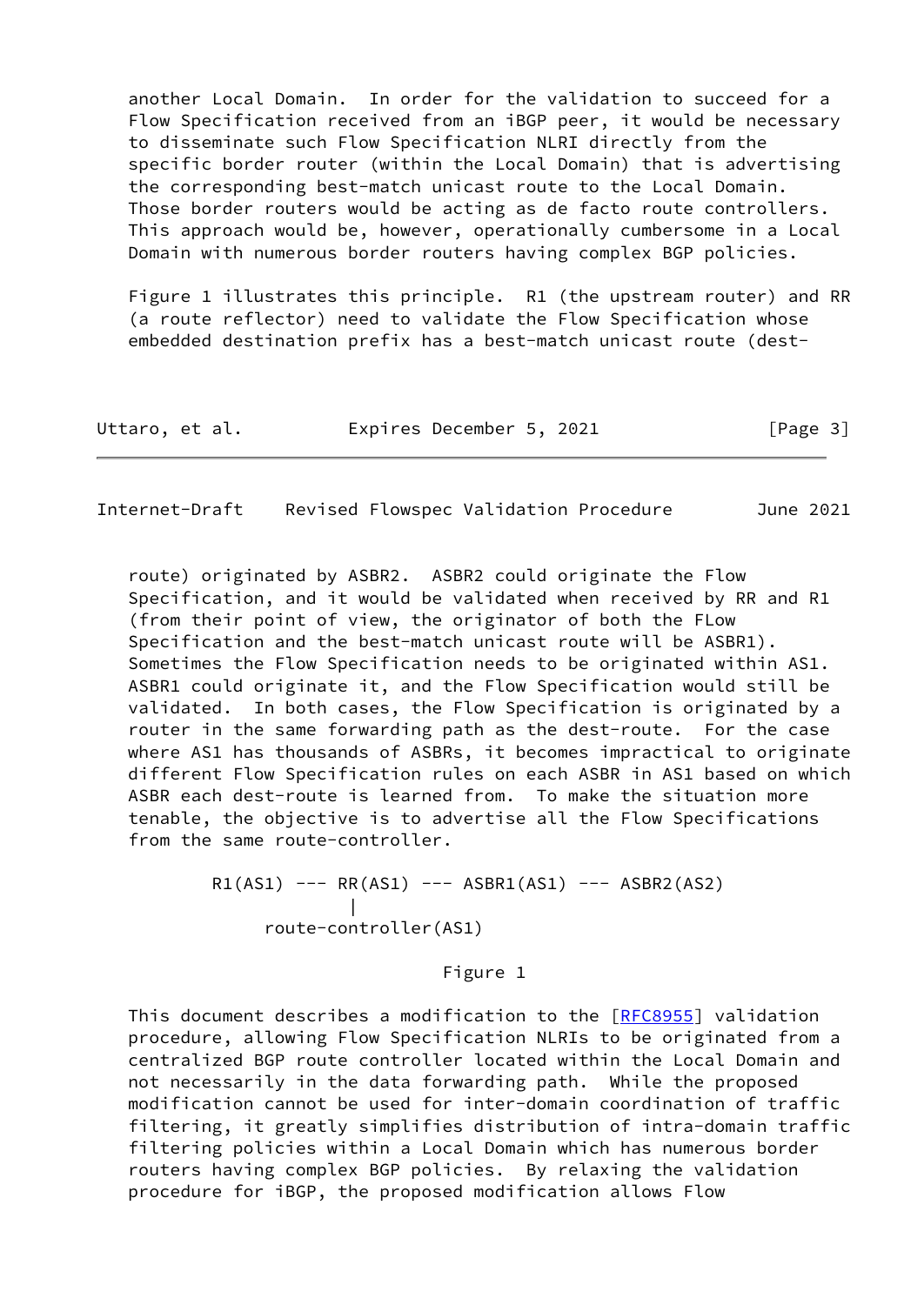another Local Domain. In order for the validation to succeed for a Flow Specification received from an iBGP peer, it would be necessary to disseminate such Flow Specification NLRI directly from the specific border router (within the Local Domain) that is advertising the corresponding best-match unicast route to the Local Domain. Those border routers would be acting as de facto route controllers. This approach would be, however, operationally cumbersome in a Local Domain with numerous border routers having complex BGP policies.

 Figure 1 illustrates this principle. R1 (the upstream router) and RR (a route reflector) need to validate the Flow Specification whose embedded destination prefix has a best-match unicast route (dest-

| Uttaro, et al. | Expires December 5, 2021 |  | [Page 3] |
|----------------|--------------------------|--|----------|
|----------------|--------------------------|--|----------|

<span id="page-3-0"></span>Internet-Draft Revised Flowspec Validation Procedure June 2021

 route) originated by ASBR2. ASBR2 could originate the Flow Specification, and it would be validated when received by RR and R1 (from their point of view, the originator of both the FLow Specification and the best-match unicast route will be ASBR1). Sometimes the Flow Specification needs to be originated within AS1. ASBR1 could originate it, and the Flow Specification would still be validated. In both cases, the Flow Specification is originated by a router in the same forwarding path as the dest-route. For the case where AS1 has thousands of ASBRs, it becomes impractical to originate different Flow Specification rules on each ASBR in AS1 based on which ASBR each dest-route is learned from. To make the situation more tenable, the objective is to advertise all the Flow Specifications from the same route-controller.

 $R1(AS1)$  ---  $RR(AS1)$  ---  $ASBR1(AS1)$  ---  $ASBR2(AS2)$  | route-controller(AS1)

Figure 1

 This document describes a modification to the [[RFC8955](https://datatracker.ietf.org/doc/pdf/rfc8955)] validation procedure, allowing Flow Specification NLRIs to be originated from a centralized BGP route controller located within the Local Domain and not necessarily in the data forwarding path. While the proposed modification cannot be used for inter-domain coordination of traffic filtering, it greatly simplifies distribution of intra-domain traffic filtering policies within a Local Domain which has numerous border routers having complex BGP policies. By relaxing the validation procedure for iBGP, the proposed modification allows Flow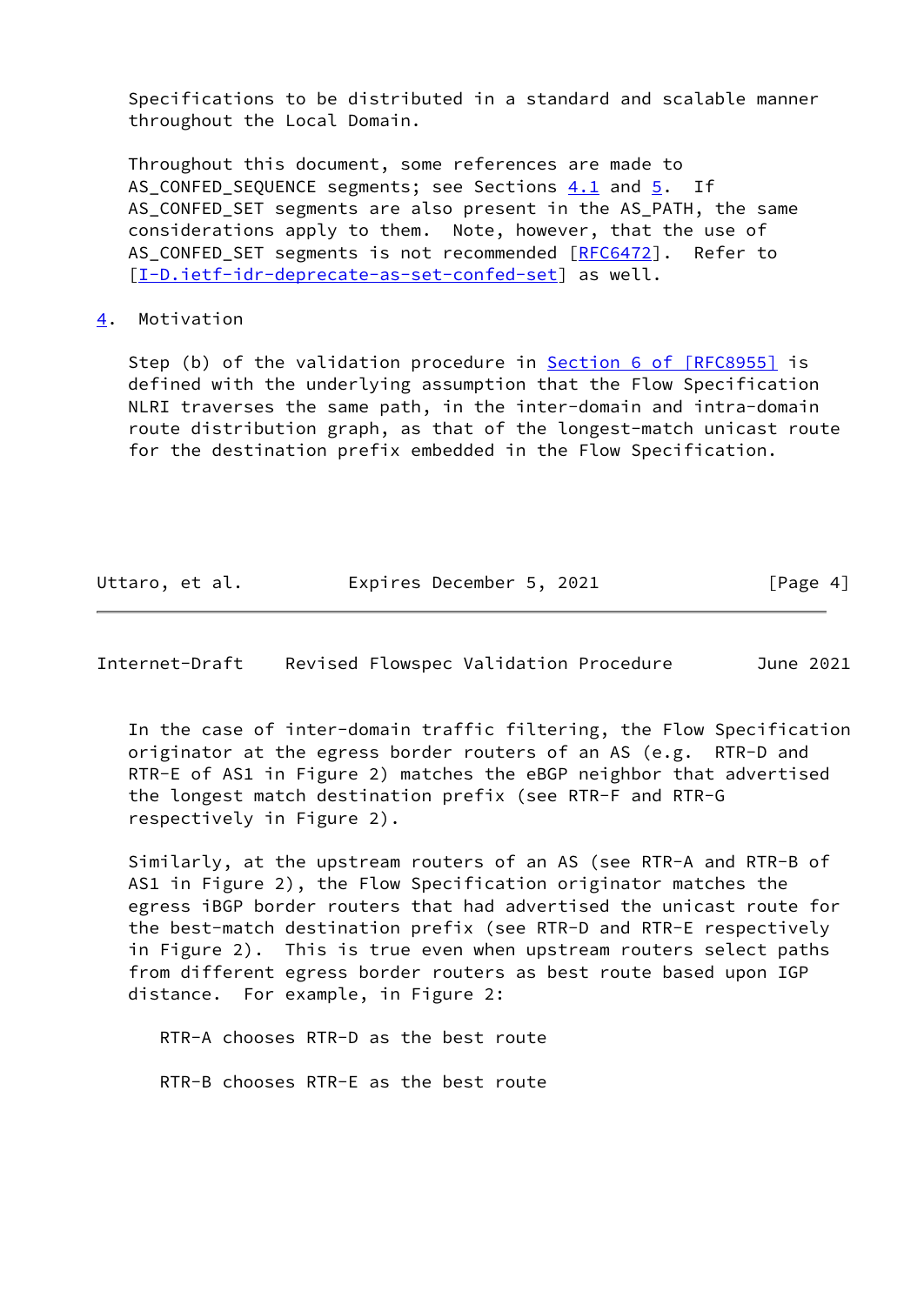Specifications to be distributed in a standard and scalable manner throughout the Local Domain.

 Throughout this document, some references are made to AS CONFED SEQUENCE segments; see Sections 4.1 and [5.](#page-7-0) If AS\_CONFED\_SET segments are also present in the AS\_PATH, the same considerations apply to them. Note, however, that the use of AS\_CONFED\_SET segments is not recommended [[RFC6472](https://datatracker.ietf.org/doc/pdf/rfc6472)]. Refer to [\[I-D.ietf-idr-deprecate-as-set-confed-set](#page-14-1)] as well.

#### <span id="page-4-0"></span>[4](#page-4-0). Motivation

 Step (b) of the validation procedure in Section [6 of \[RFC8955\]](https://datatracker.ietf.org/doc/pdf/rfc8955#section-6) is defined with the underlying assumption that the Flow Specification NLRI traverses the same path, in the inter-domain and intra-domain route distribution graph, as that of the longest-match unicast route for the destination prefix embedded in the Flow Specification.

| Uttaro, et al. | Expires December 5, 2021 | [Page 4] |
|----------------|--------------------------|----------|
|----------------|--------------------------|----------|

Internet-Draft Revised Flowspec Validation Procedure June 2021

 In the case of inter-domain traffic filtering, the Flow Specification originator at the egress border routers of an AS (e.g. RTR-D and RTR-E of AS1 in Figure 2) matches the eBGP neighbor that advertised the longest match destination prefix (see RTR-F and RTR-G respectively in Figure 2).

 Similarly, at the upstream routers of an AS (see RTR-A and RTR-B of AS1 in Figure 2), the Flow Specification originator matches the egress iBGP border routers that had advertised the unicast route for the best-match destination prefix (see RTR-D and RTR-E respectively in Figure 2). This is true even when upstream routers select paths from different egress border routers as best route based upon IGP distance. For example, in Figure 2:

RTR-A chooses RTR-D as the best route

RTR-B chooses RTR-E as the best route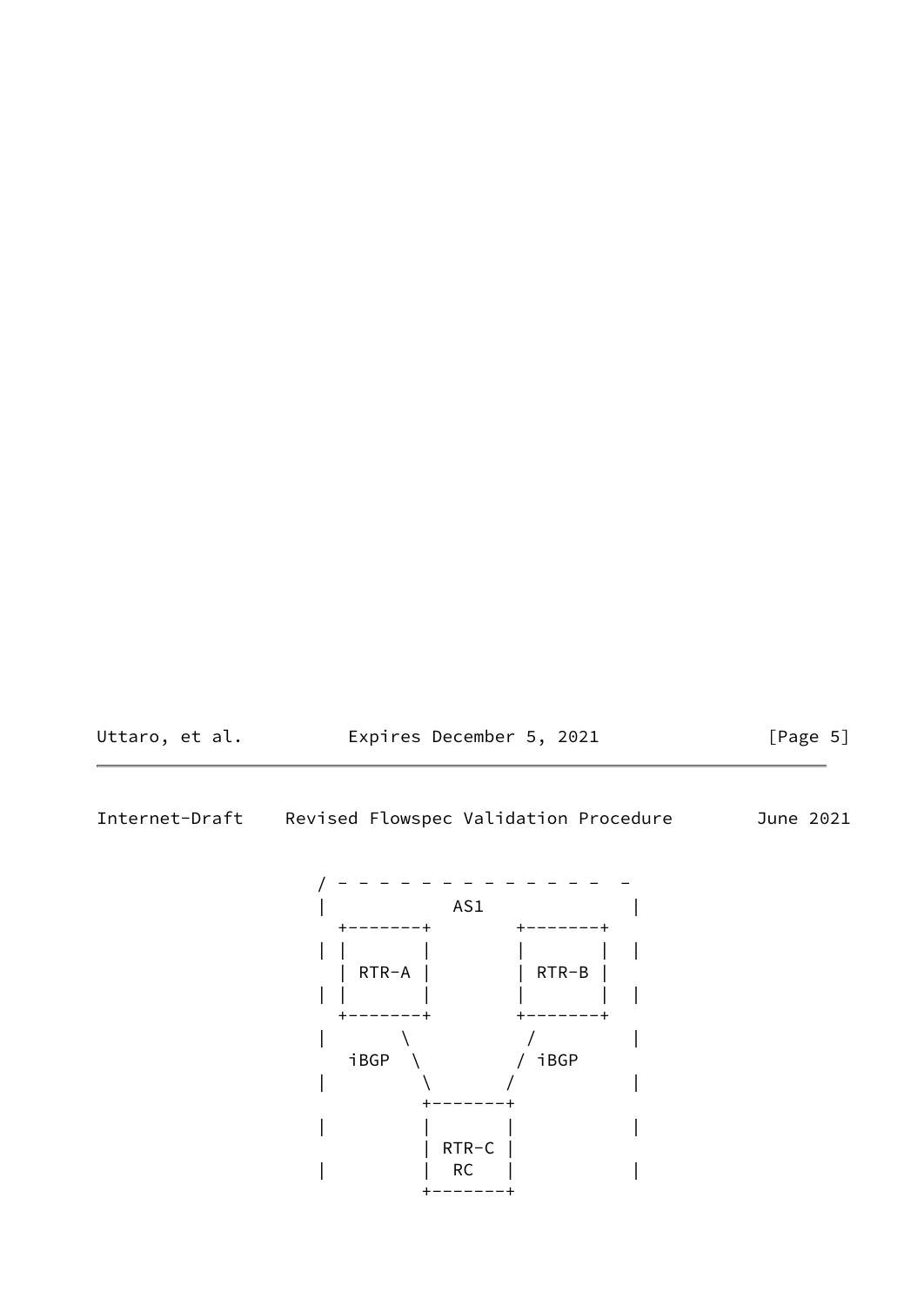

Internet-Draft Revised Flowspec Validation Procedure June 2021

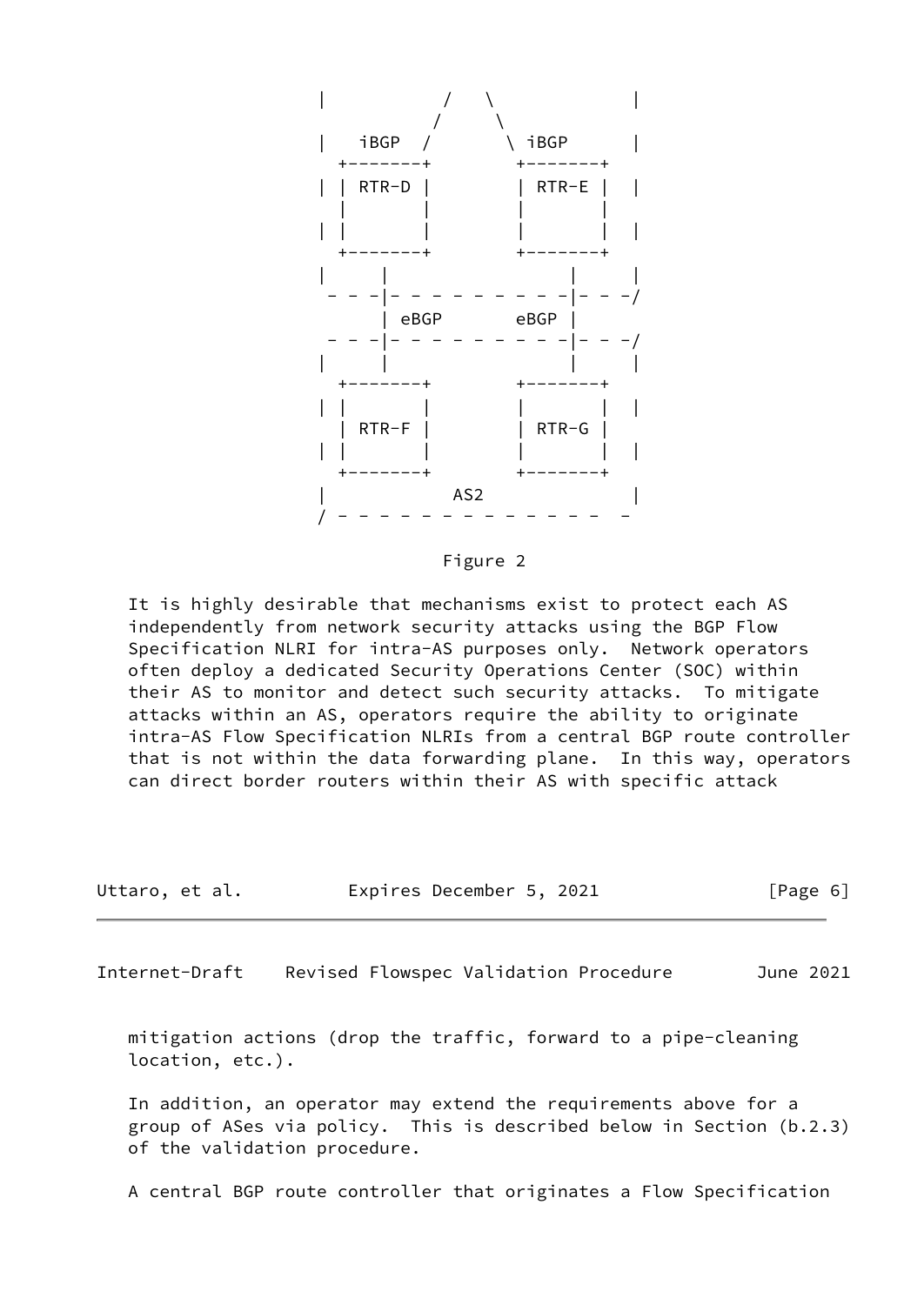

Figure 2

 It is highly desirable that mechanisms exist to protect each AS independently from network security attacks using the BGP Flow Specification NLRI for intra-AS purposes only. Network operators often deploy a dedicated Security Operations Center (SOC) within their AS to monitor and detect such security attacks. To mitigate attacks within an AS, operators require the ability to originate intra-AS Flow Specification NLRIs from a central BGP route controller that is not within the data forwarding plane. In this way, operators can direct border routers within their AS with specific attack

| Uttaro, et al. | Expires December 5, 2021 |  | [Page 6] |
|----------------|--------------------------|--|----------|
|----------------|--------------------------|--|----------|

<span id="page-6-0"></span>Internet-Draft Revised Flowspec Validation Procedure June 2021

 mitigation actions (drop the traffic, forward to a pipe-cleaning location, etc.).

 In addition, an operator may extend the requirements above for a group of ASes via policy. This is described below in Section (b.2.3) of the validation procedure.

A central BGP route controller that originates a Flow Specification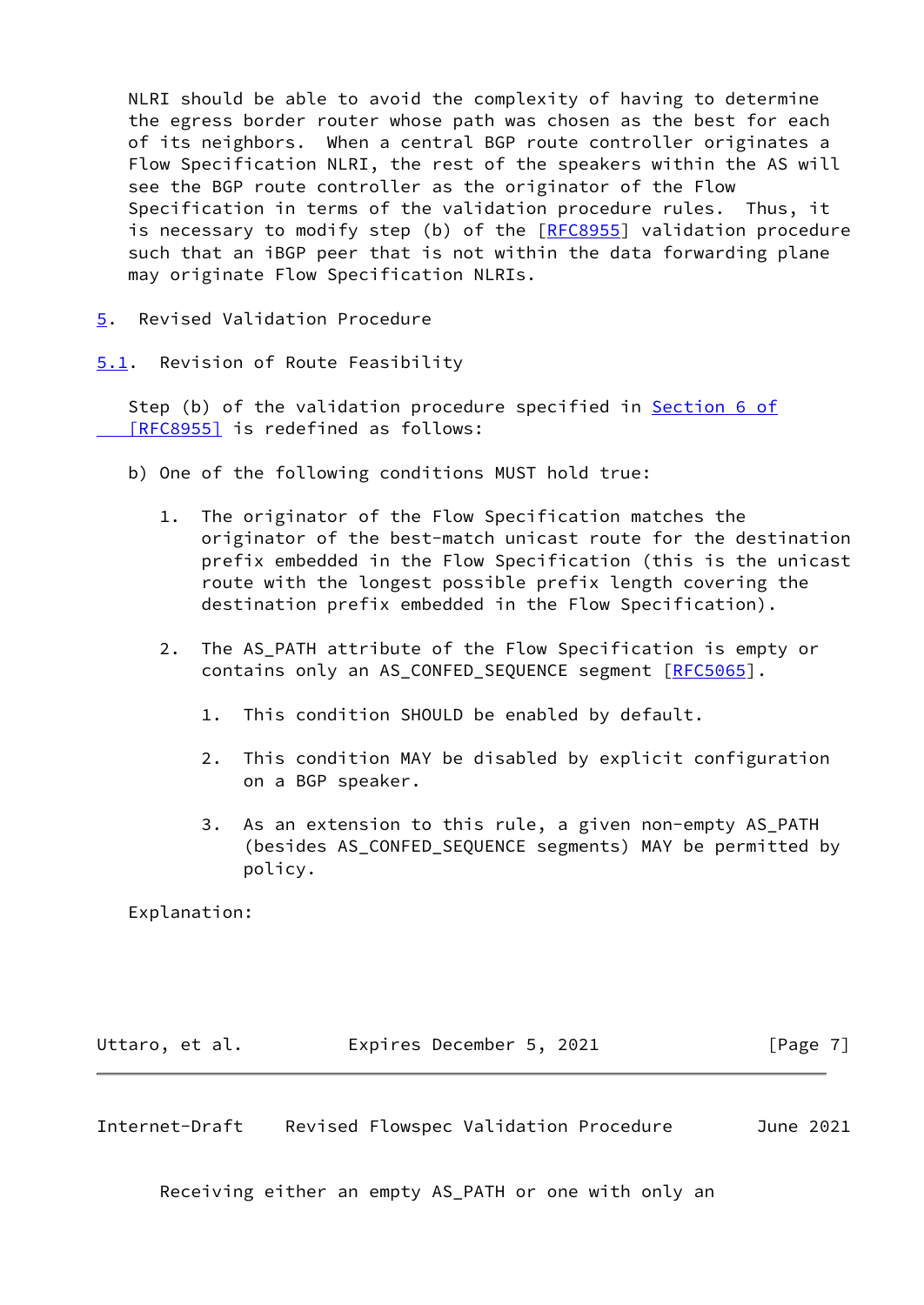NLRI should be able to avoid the complexity of having to determine the egress border router whose path was chosen as the best for each of its neighbors. When a central BGP route controller originates a Flow Specification NLRI, the rest of the speakers within the AS will see the BGP route controller as the originator of the Flow Specification in terms of the validation procedure rules. Thus, it is necessary to modify step (b) of the [\[RFC8955](https://datatracker.ietf.org/doc/pdf/rfc8955)] validation procedure such that an iBGP peer that is not within the data forwarding plane may originate Flow Specification NLRIs.

- <span id="page-7-0"></span>[5](#page-7-0). Revised Validation Procedure
- <span id="page-7-1"></span>[5.1](#page-7-1). Revision of Route Feasibility

Step (b) of the validation procedure specified in [Section](https://datatracker.ietf.org/doc/pdf/rfc8955#section-6) 6 of  [\[RFC8955\]](https://datatracker.ietf.org/doc/pdf/rfc8955#section-6) is redefined as follows:

- b) One of the following conditions MUST hold true:
	- 1. The originator of the Flow Specification matches the originator of the best-match unicast route for the destination prefix embedded in the Flow Specification (this is the unicast route with the longest possible prefix length covering the destination prefix embedded in the Flow Specification).
	- 2. The AS\_PATH attribute of the Flow Specification is empty or contains only an AS\_CONFED\_SEQUENCE segment [[RFC5065\]](https://datatracker.ietf.org/doc/pdf/rfc5065).
		- 1. This condition SHOULD be enabled by default.
		- 2. This condition MAY be disabled by explicit configuration on a BGP speaker.
		- 3. As an extension to this rule, a given non-empty AS\_PATH (besides AS\_CONFED\_SEQUENCE segments) MAY be permitted by policy.

Explanation:

| Uttaro, et al. | Expires December 5, 2021 | [Page 7] |
|----------------|--------------------------|----------|
|                |                          |          |

<span id="page-7-2"></span>Internet-Draft Revised Flowspec Validation Procedure June 2021

Receiving either an empty AS\_PATH or one with only an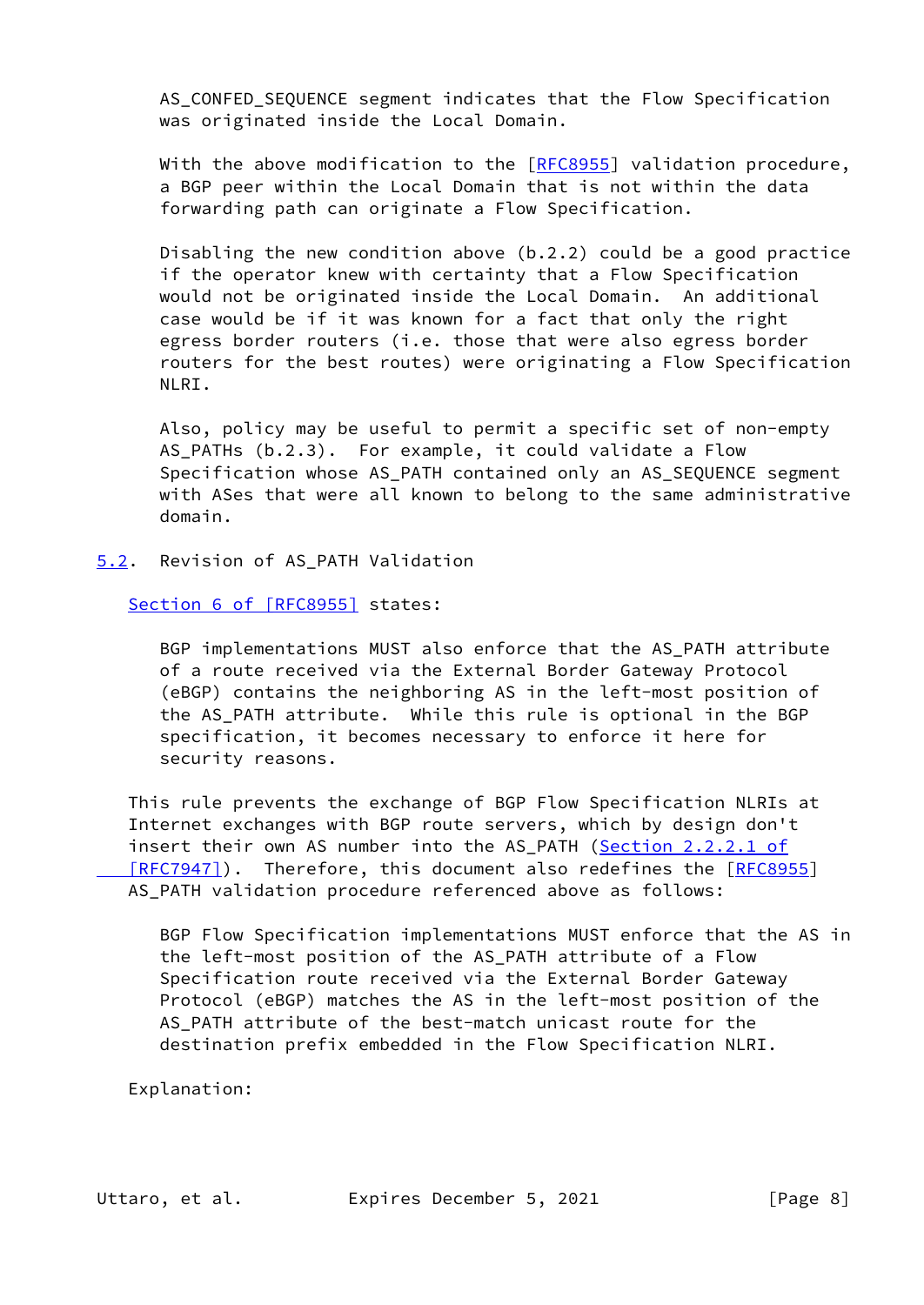AS CONFED SEQUENCE segment indicates that the Flow Specification was originated inside the Local Domain.

With the above modification to the  $[RECS955]$  validation procedure, a BGP peer within the Local Domain that is not within the data forwarding path can originate a Flow Specification.

 Disabling the new condition above (b.2.2) could be a good practice if the operator knew with certainty that a Flow Specification would not be originated inside the Local Domain. An additional case would be if it was known for a fact that only the right egress border routers (i.e. those that were also egress border routers for the best routes) were originating a Flow Specification NLRI.

 Also, policy may be useful to permit a specific set of non-empty AS\_PATHs (b.2.3). For example, it could validate a Flow Specification whose AS\_PATH contained only an AS\_SEQUENCE segment with ASes that were all known to belong to the same administrative domain.

<span id="page-8-0"></span>[5.2](#page-8-0). Revision of AS\_PATH Validation

Section [6 of \[RFC8955\]](https://datatracker.ietf.org/doc/pdf/rfc8955#section-6) states:

 BGP implementations MUST also enforce that the AS\_PATH attribute of a route received via the External Border Gateway Protocol (eBGP) contains the neighboring AS in the left-most position of the AS\_PATH attribute. While this rule is optional in the BGP specification, it becomes necessary to enforce it here for security reasons.

 This rule prevents the exchange of BGP Flow Specification NLRIs at Internet exchanges with BGP route servers, which by design don't insert their own AS number into the AS PATH (Section [2.2.2.1 of](https://datatracker.ietf.org/doc/pdf/rfc7947#section-2.2.2.1)  [\[RFC7947\]](https://datatracker.ietf.org/doc/pdf/rfc7947#section-2.2.2.1)). Therefore, this document also redefines the [\[RFC8955](https://datatracker.ietf.org/doc/pdf/rfc8955)] AS PATH validation procedure referenced above as follows:

 BGP Flow Specification implementations MUST enforce that the AS in the left-most position of the AS\_PATH attribute of a Flow Specification route received via the External Border Gateway Protocol (eBGP) matches the AS in the left-most position of the AS\_PATH attribute of the best-match unicast route for the destination prefix embedded in the Flow Specification NLRI.

Explanation: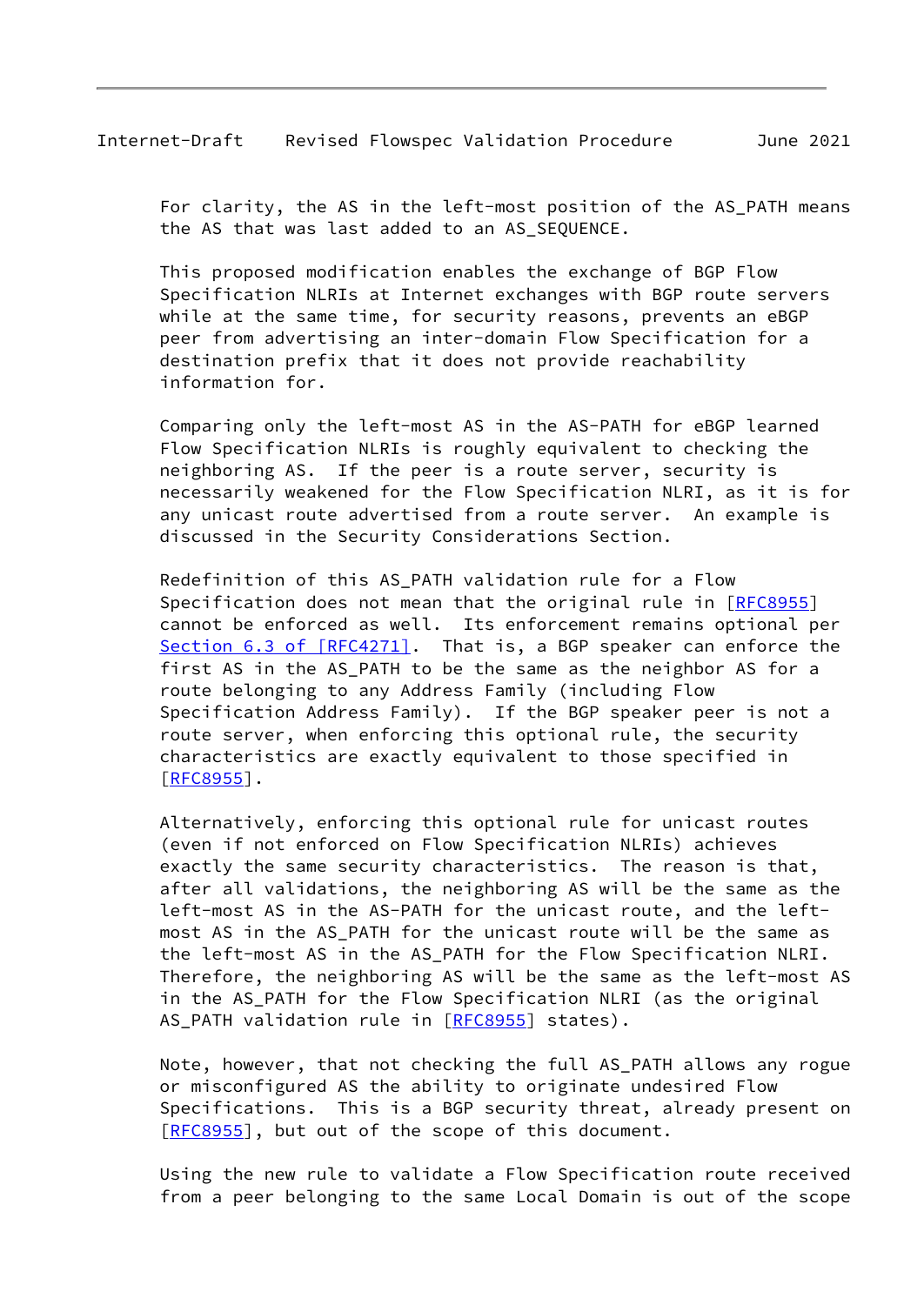For clarity, the AS in the left-most position of the AS\_PATH means the AS that was last added to an AS SEQUENCE.

 This proposed modification enables the exchange of BGP Flow Specification NLRIs at Internet exchanges with BGP route servers while at the same time, for security reasons, prevents an eBGP peer from advertising an inter-domain Flow Specification for a destination prefix that it does not provide reachability information for.

 Comparing only the left-most AS in the AS-PATH for eBGP learned Flow Specification NLRIs is roughly equivalent to checking the neighboring AS. If the peer is a route server, security is necessarily weakened for the Flow Specification NLRI, as it is for any unicast route advertised from a route server. An example is discussed in the Security Considerations Section.

 Redefinition of this AS\_PATH validation rule for a Flow Specification does not mean that the original rule in [\[RFC8955](https://datatracker.ietf.org/doc/pdf/rfc8955)] cannot be enforced as well. Its enforcement remains optional per Section [6.3 of \[RFC4271\].](https://datatracker.ietf.org/doc/pdf/rfc4271#section-6.3) That is, a BGP speaker can enforce the first AS in the AS PATH to be the same as the neighbor AS for a route belonging to any Address Family (including Flow Specification Address Family). If the BGP speaker peer is not a route server, when enforcing this optional rule, the security characteristics are exactly equivalent to those specified in [[RFC8955\]](https://datatracker.ietf.org/doc/pdf/rfc8955).

 Alternatively, enforcing this optional rule for unicast routes (even if not enforced on Flow Specification NLRIs) achieves exactly the same security characteristics. The reason is that, after all validations, the neighboring AS will be the same as the left-most AS in the AS-PATH for the unicast route, and the left most AS in the AS\_PATH for the unicast route will be the same as the left-most AS in the AS\_PATH for the Flow Specification NLRI. Therefore, the neighboring AS will be the same as the left-most AS in the AS\_PATH for the Flow Specification NLRI (as the original AS\_PATH validation rule in [[RFC8955](https://datatracker.ietf.org/doc/pdf/rfc8955)] states).

 Note, however, that not checking the full AS\_PATH allows any rogue or misconfigured AS the ability to originate undesired Flow Specifications. This is a BGP security threat, already present on [[RFC8955\]](https://datatracker.ietf.org/doc/pdf/rfc8955), but out of the scope of this document.

 Using the new rule to validate a Flow Specification route received from a peer belonging to the same Local Domain is out of the scope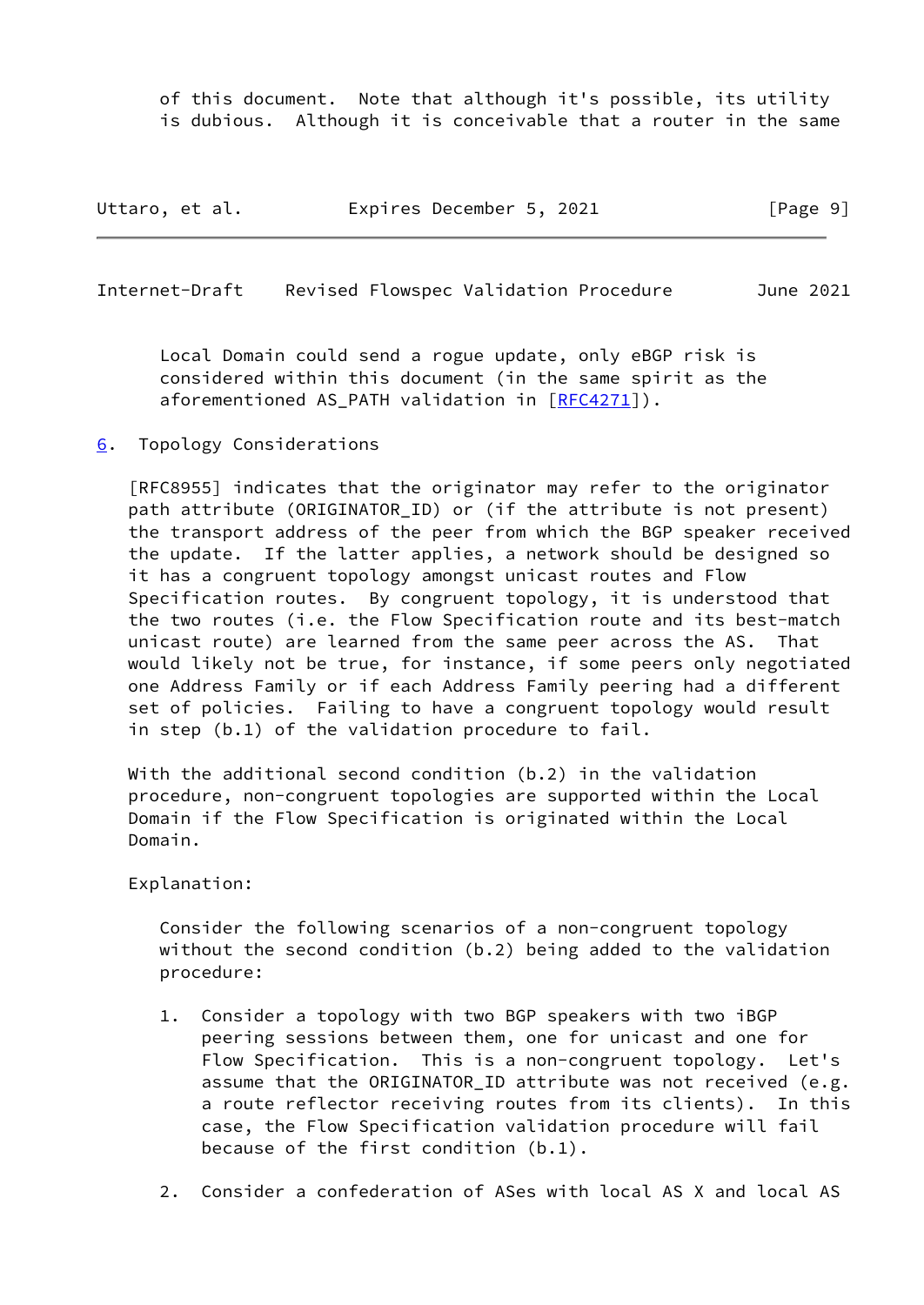of this document. Note that although it's possible, its utility is dubious. Although it is conceivable that a router in the same

| Uttaro, et al. |  | Expires December 5, 2021 |  |  | [Page 9] |  |
|----------------|--|--------------------------|--|--|----------|--|
|----------------|--|--------------------------|--|--|----------|--|

<span id="page-10-1"></span>Internet-Draft Revised Flowspec Validation Procedure June 2021

 Local Domain could send a rogue update, only eBGP risk is considered within this document (in the same spirit as the aforementioned AS PATH validation in [\[RFC4271](https://datatracker.ietf.org/doc/pdf/rfc4271)]).

<span id="page-10-0"></span>[6](#page-10-0). Topology Considerations

 [RFC8955] indicates that the originator may refer to the originator path attribute (ORIGINATOR\_ID) or (if the attribute is not present) the transport address of the peer from which the BGP speaker received the update. If the latter applies, a network should be designed so it has a congruent topology amongst unicast routes and Flow Specification routes. By congruent topology, it is understood that the two routes (i.e. the Flow Specification route and its best-match unicast route) are learned from the same peer across the AS. That would likely not be true, for instance, if some peers only negotiated one Address Family or if each Address Family peering had a different set of policies. Failing to have a congruent topology would result in step (b.1) of the validation procedure to fail.

 With the additional second condition (b.2) in the validation procedure, non-congruent topologies are supported within the Local Domain if the Flow Specification is originated within the Local Domain.

Explanation:

 Consider the following scenarios of a non-congruent topology without the second condition (b.2) being added to the validation procedure:

- 1. Consider a topology with two BGP speakers with two iBGP peering sessions between them, one for unicast and one for Flow Specification. This is a non-congruent topology. Let's assume that the ORIGINATOR ID attribute was not received (e.g. a route reflector receiving routes from its clients). In this case, the Flow Specification validation procedure will fail because of the first condition (b.1).
- 2. Consider a confederation of ASes with local AS X and local AS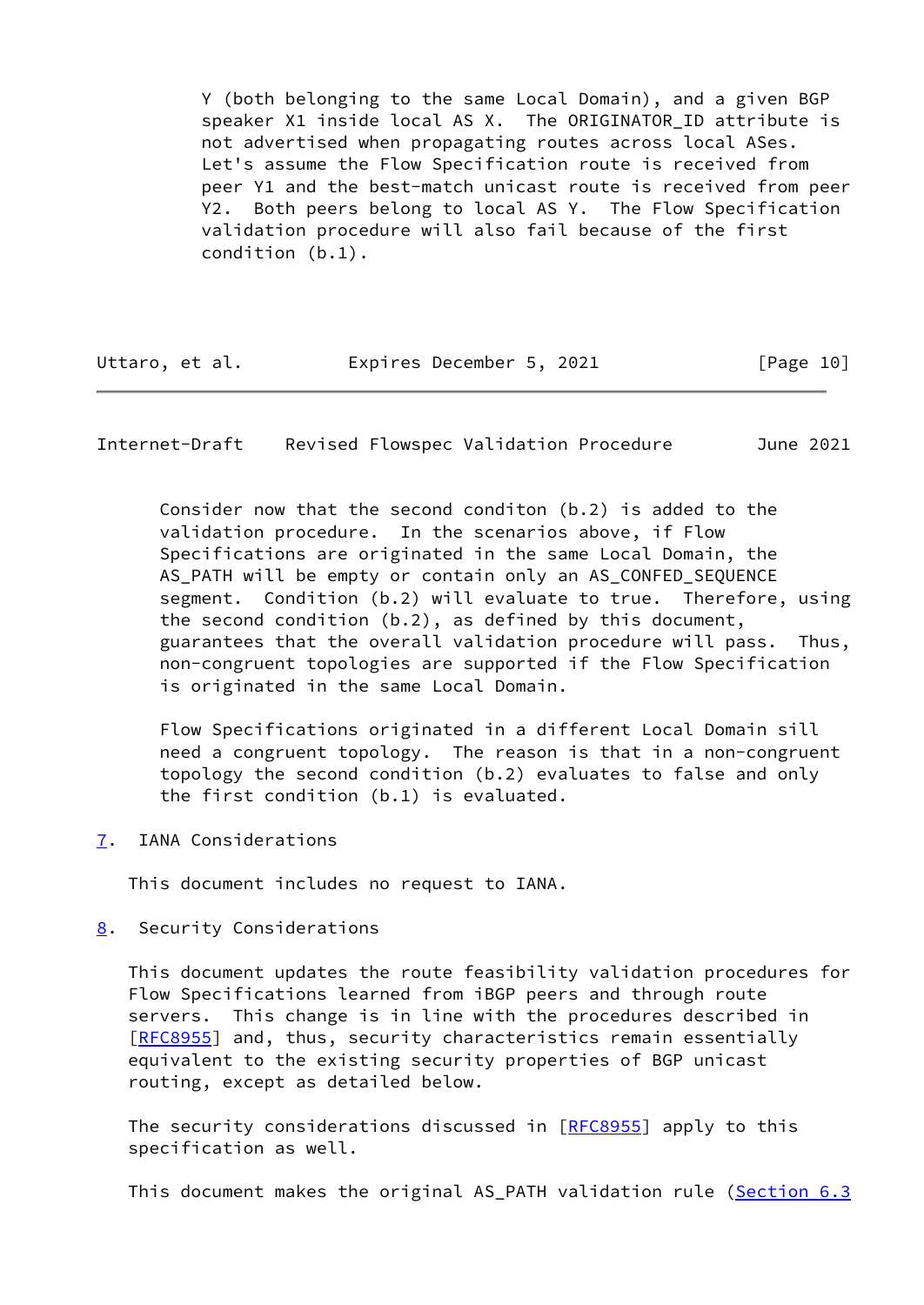Y (both belonging to the same Local Domain), and a given BGP speaker X1 inside local AS X. The ORIGINATOR\_ID attribute is not advertised when propagating routes across local ASes. Let's assume the Flow Specification route is received from peer Y1 and the best-match unicast route is received from peer Y2. Both peers belong to local AS Y. The Flow Specification validation procedure will also fail because of the first condition (b.1).

| Uttaro, et al. | Expires December 5, 2021 |  | [Page 10] |
|----------------|--------------------------|--|-----------|
|                |                          |  |           |

<span id="page-11-1"></span>Internet-Draft Revised Flowspec Validation Procedure June 2021

 Consider now that the second conditon (b.2) is added to the validation procedure. In the scenarios above, if Flow Specifications are originated in the same Local Domain, the AS\_PATH will be empty or contain only an AS\_CONFED\_SEQUENCE segment. Condition (b.2) will evaluate to true. Therefore, using the second condition (b.2), as defined by this document, guarantees that the overall validation procedure will pass. Thus, non-congruent topologies are supported if the Flow Specification is originated in the same Local Domain.

 Flow Specifications originated in a different Local Domain sill need a congruent topology. The reason is that in a non-congruent topology the second condition (b.2) evaluates to false and only the first condition (b.1) is evaluated.

<span id="page-11-0"></span>[7](#page-11-0). IANA Considerations

This document includes no request to IANA.

<span id="page-11-2"></span>[8](#page-11-2). Security Considerations

 This document updates the route feasibility validation procedures for Flow Specifications learned from iBGP peers and through route servers. This change is in line with the procedures described in [\[RFC8955](https://datatracker.ietf.org/doc/pdf/rfc8955)] and, thus, security characteristics remain essentially equivalent to the existing security properties of BGP unicast routing, except as detailed below.

The security considerations discussed in [\[RFC8955](https://datatracker.ietf.org/doc/pdf/rfc8955)] apply to this specification as well.

This document makes the original AS\_PATH validation rule [\(Section](https://datatracker.ietf.org/doc/pdf/rfc4271#section-6.3) 6.3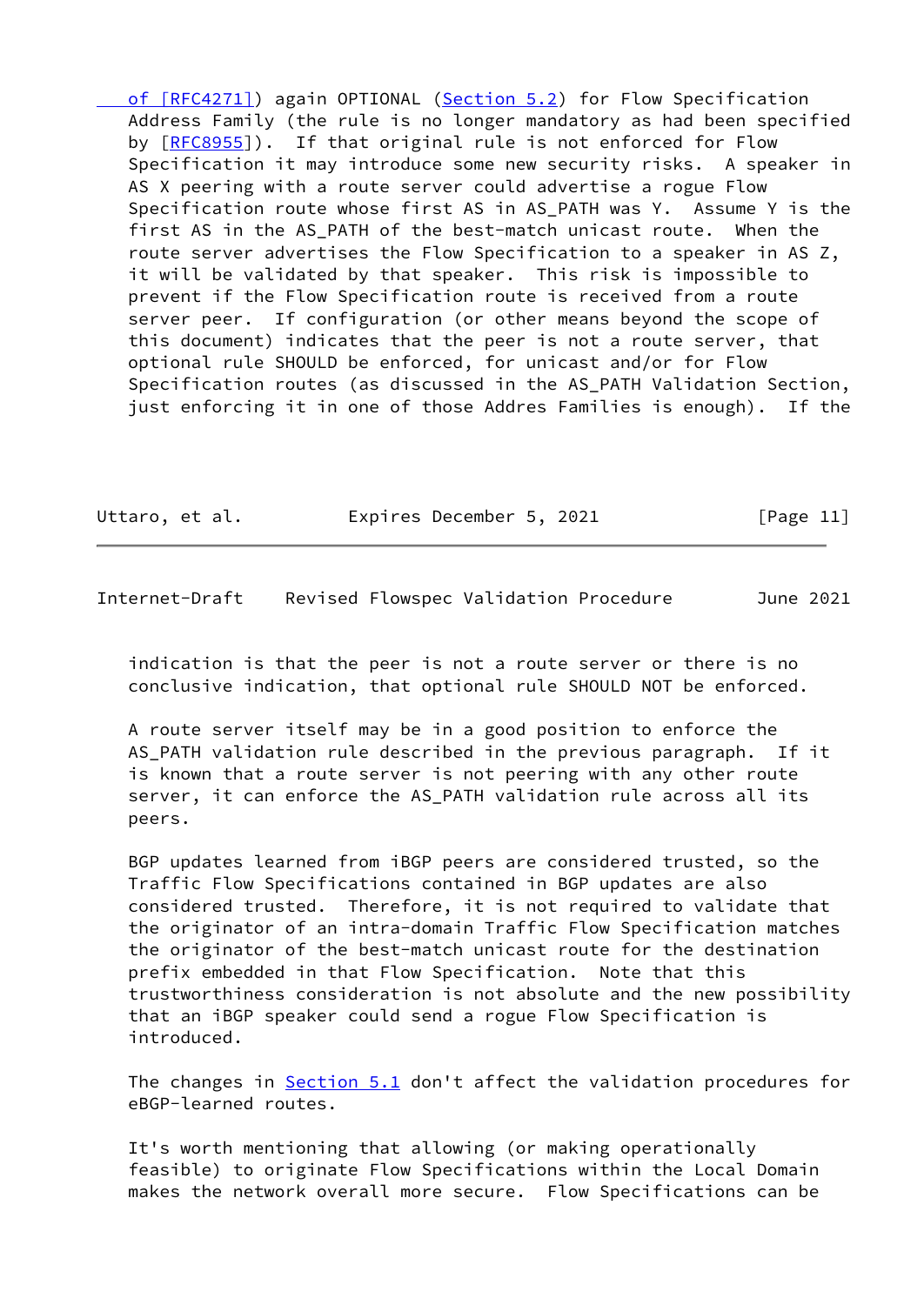[of \[RFC4271\]](https://datatracker.ietf.org/doc/pdf/rfc4271#section-6.3)) again OPTIONAL [\(Section 5.2](#page-8-0)) for Flow Specification Address Family (the rule is no longer mandatory as had been specified by [[RFC8955\]](https://datatracker.ietf.org/doc/pdf/rfc8955)). If that original rule is not enforced for Flow Specification it may introduce some new security risks. A speaker in AS X peering with a route server could advertise a rogue Flow Specification route whose first AS in AS PATH was Y. Assume Y is the first AS in the AS PATH of the best-match unicast route. When the route server advertises the Flow Specification to a speaker in AS Z, it will be validated by that speaker. This risk is impossible to prevent if the Flow Specification route is received from a route server peer. If configuration (or other means beyond the scope of this document) indicates that the peer is not a route server, that optional rule SHOULD be enforced, for unicast and/or for Flow Specification routes (as discussed in the AS\_PATH Validation Section, just enforcing it in one of those Addres Families is enough). If the

| Uttaro, et al. | Expires December 5, 2021 | [Page 11] |
|----------------|--------------------------|-----------|
|                |                          |           |

<span id="page-12-0"></span>Internet-Draft Revised Flowspec Validation Procedure June 2021

 indication is that the peer is not a route server or there is no conclusive indication, that optional rule SHOULD NOT be enforced.

 A route server itself may be in a good position to enforce the AS PATH validation rule described in the previous paragraph. If it is known that a route server is not peering with any other route server, it can enforce the AS\_PATH validation rule across all its peers.

 BGP updates learned from iBGP peers are considered trusted, so the Traffic Flow Specifications contained in BGP updates are also considered trusted. Therefore, it is not required to validate that the originator of an intra-domain Traffic Flow Specification matches the originator of the best-match unicast route for the destination prefix embedded in that Flow Specification. Note that this trustworthiness consideration is not absolute and the new possibility that an iBGP speaker could send a rogue Flow Specification is introduced.

 The changes in [Section 5.1](#page-7-1) don't affect the validation procedures for eBGP-learned routes.

 It's worth mentioning that allowing (or making operationally feasible) to originate Flow Specifications within the Local Domain makes the network overall more secure. Flow Specifications can be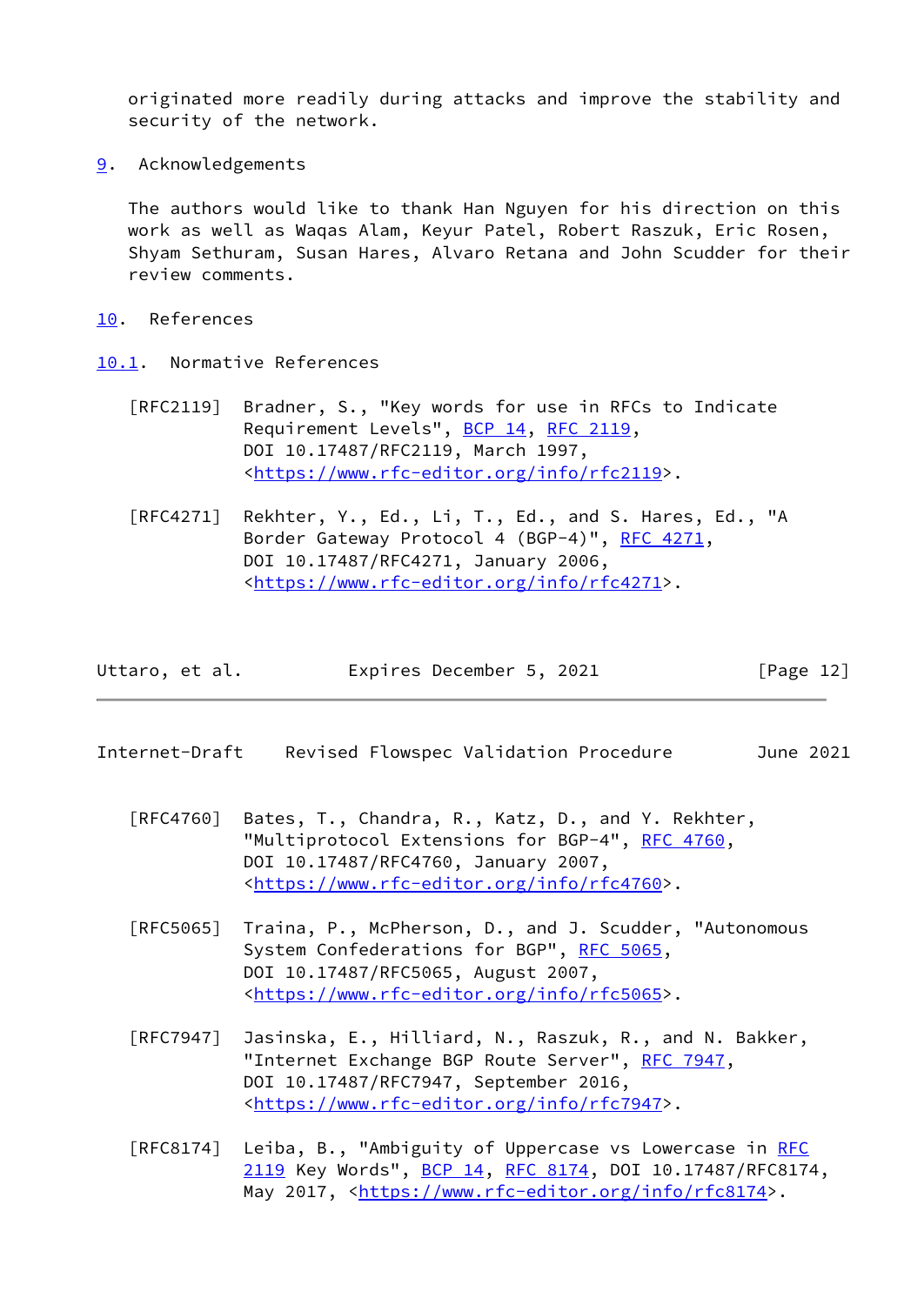originated more readily during attacks and improve the stability and security of the network.

<span id="page-13-0"></span>[9](#page-13-0). Acknowledgements

 The authors would like to thank Han Nguyen for his direction on this work as well as Waqas Alam, Keyur Patel, Robert Raszuk, Eric Rosen, Shyam Sethuram, Susan Hares, Alvaro Retana and John Scudder for their review comments.

- <span id="page-13-1"></span>[10.](#page-13-1) References
- <span id="page-13-2"></span>[10.1](#page-13-2). Normative References
	- [RFC2119] Bradner, S., "Key words for use in RFCs to Indicate Requirement Levels", [BCP 14](https://datatracker.ietf.org/doc/pdf/bcp14), [RFC 2119](https://datatracker.ietf.org/doc/pdf/rfc2119), DOI 10.17487/RFC2119, March 1997, <[https://www.rfc-editor.org/info/rfc2119>](https://www.rfc-editor.org/info/rfc2119).
	- [RFC4271] Rekhter, Y., Ed., Li, T., Ed., and S. Hares, Ed., "A Border Gateway Protocol 4 (BGP-4)", [RFC 4271,](https://datatracker.ietf.org/doc/pdf/rfc4271) DOI 10.17487/RFC4271, January 2006, <[https://www.rfc-editor.org/info/rfc4271>](https://www.rfc-editor.org/info/rfc4271).

<span id="page-13-3"></span>Internet-Draft Revised Flowspec Validation Procedure June 2021

- [RFC4760] Bates, T., Chandra, R., Katz, D., and Y. Rekhter, "Multiprotocol Extensions for BGP-4", [RFC 4760](https://datatracker.ietf.org/doc/pdf/rfc4760), DOI 10.17487/RFC4760, January 2007, <[https://www.rfc-editor.org/info/rfc4760>](https://www.rfc-editor.org/info/rfc4760).
- [RFC5065] Traina, P., McPherson, D., and J. Scudder, "Autonomous System Confederations for BGP", [RFC 5065,](https://datatracker.ietf.org/doc/pdf/rfc5065) DOI 10.17487/RFC5065, August 2007, <[https://www.rfc-editor.org/info/rfc5065>](https://www.rfc-editor.org/info/rfc5065).
- [RFC7947] Jasinska, E., Hilliard, N., Raszuk, R., and N. Bakker, "Internet Exchange BGP Route Server", [RFC 7947](https://datatracker.ietf.org/doc/pdf/rfc7947), DOI 10.17487/RFC7947, September 2016, <[https://www.rfc-editor.org/info/rfc7947>](https://www.rfc-editor.org/info/rfc7947).
- [RFC8174] Leiba, B., "Ambiguity of Uppercase vs Lowercase in [RFC](https://datatracker.ietf.org/doc/pdf/rfc2119) [2119](https://datatracker.ietf.org/doc/pdf/rfc2119) Key Words", [BCP 14](https://datatracker.ietf.org/doc/pdf/bcp14), [RFC 8174,](https://datatracker.ietf.org/doc/pdf/rfc8174) DOI 10.17487/RFC8174, May 2017, [<https://www.rfc-editor.org/info/rfc8174](https://www.rfc-editor.org/info/rfc8174)>.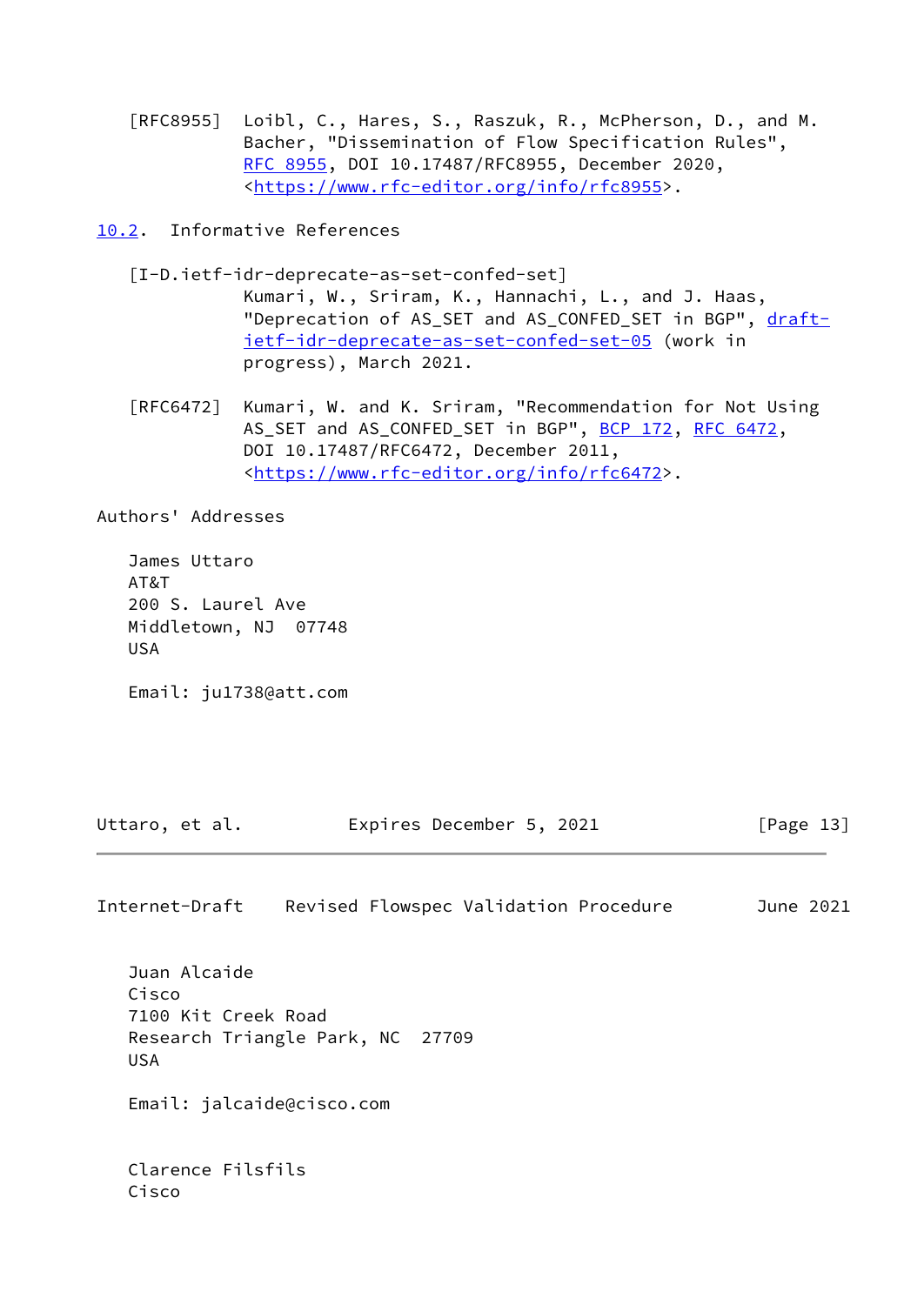[RFC8955] Loibl, C., Hares, S., Raszuk, R., McPherson, D., and M. Bacher, "Dissemination of Flow Specification Rules", [RFC 8955,](https://datatracker.ietf.org/doc/pdf/rfc8955) DOI 10.17487/RFC8955, December 2020, <[https://www.rfc-editor.org/info/rfc8955>](https://www.rfc-editor.org/info/rfc8955).

<span id="page-14-0"></span>[10.2](#page-14-0). Informative References

<span id="page-14-1"></span>[I-D.ietf-idr-deprecate-as-set-confed-set]

 Kumari, W., Sriram, K., Hannachi, L., and J. Haas, "Deprecation of AS\_SET and AS\_CONFED\_SET in BGP", [draft](https://datatracker.ietf.org/doc/pdf/draft-ietf-idr-deprecate-as-set-confed-set-05) [ietf-idr-deprecate-as-set-confed-set-05](https://datatracker.ietf.org/doc/pdf/draft-ietf-idr-deprecate-as-set-confed-set-05) (work in progress), March 2021.

 [RFC6472] Kumari, W. and K. Sriram, "Recommendation for Not Using AS\_SET and AS\_CONFED\_SET in BGP", [BCP 172](https://datatracker.ietf.org/doc/pdf/bcp172), [RFC 6472](https://datatracker.ietf.org/doc/pdf/rfc6472), DOI 10.17487/RFC6472, December 2011, <[https://www.rfc-editor.org/info/rfc6472>](https://www.rfc-editor.org/info/rfc6472).

Authors' Addresses

 James Uttaro AT&T 200 S. Laurel Ave Middletown, NJ 07748 USA

Email: ju1738@att.com

Uttaro, et al. Expires December 5, 2021 [Page 13]

Internet-Draft Revised Flowspec Validation Procedure June 2021

 Juan Alcaide Cisco 7100 Kit Creek Road Research Triangle Park, NC 27709 USA

Email: jalcaide@cisco.com

 Clarence Filsfils Cisco